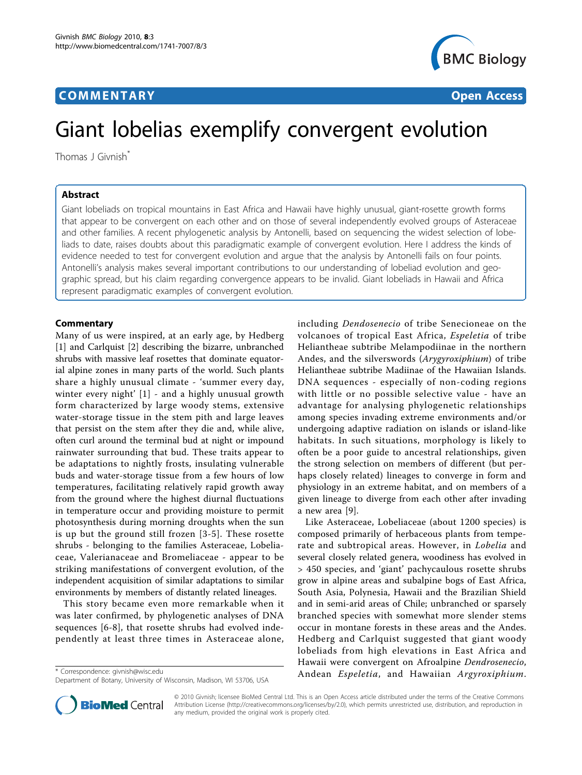## **COMMENTARY COMMENTARY Open Access**



# Giant lobelias exemplify convergent evolution

Thomas J Givnish<sup>\*</sup>

## Abstract

Giant lobeliads on tropical mountains in East Africa and Hawaii have highly unusual, giant-rosette growth forms that appear to be convergent on each other and on those of several independently evolved groups of Asteraceae and other families. A recent phylogenetic analysis by Antonelli, based on sequencing the widest selection of lobeliads to date, raises doubts about this paradigmatic example of convergent evolution. Here I address the kinds of evidence needed to test for convergent evolution and argue that the analysis by Antonelli fails on four points. Antonelli's analysis makes several important contributions to our understanding of lobeliad evolution and geographic spread, but his claim regarding convergence appears to be invalid. Giant lobeliads in Hawaii and Africa represent paradigmatic examples of convergent evolution.

### Commentary

Many of us were inspired, at an early age, by Hedberg [[1\]](#page-3-0) and Carlquist [\[2](#page-3-0)] describing the bizarre, unbranched shrubs with massive leaf rosettes that dominate equatorial alpine zones in many parts of the world. Such plants share a highly unusual climate - 'summer every day, winter every night' [[1\]](#page-3-0) - and a highly unusual growth form characterized by large woody stems, extensive water-storage tissue in the stem pith and large leaves that persist on the stem after they die and, while alive, often curl around the terminal bud at night or impound rainwater surrounding that bud. These traits appear to be adaptations to nightly frosts, insulating vulnerable buds and water-storage tissue from a few hours of low temperatures, facilitating relatively rapid growth away from the ground where the highest diurnal fluctuations in temperature occur and providing moisture to permit photosynthesis during morning droughts when the sun is up but the ground still frozen [\[3-5\]](#page-3-0). These rosette shrubs - belonging to the families Asteraceae, Lobeliaceae, Valerianaceae and Bromeliaceae - appear to be striking manifestations of convergent evolution, of the independent acquisition of similar adaptations to similar environments by members of distantly related lineages.

This story became even more remarkable when it was later confirmed, by phylogenetic analyses of DNA sequences [\[6](#page-3-0)-[8](#page-3-0)], that rosette shrubs had evolved independently at least three times in Asteraceae alone,



Like Asteraceae, Lobeliaceae (about 1200 species) is composed primarily of herbaceous plants from temperate and subtropical areas. However, in Lobelia and several closely related genera, woodiness has evolved in > 450 species, and 'giant' pachycaulous rosette shrubs grow in alpine areas and subalpine bogs of East Africa, South Asia, Polynesia, Hawaii and the Brazilian Shield and in semi-arid areas of Chile; unbranched or sparsely branched species with somewhat more slender stems occur in montane forests in these areas and the Andes. Hedberg and Carlquist suggested that giant woody lobeliads from high elevations in East Africa and Hawaii were convergent on Afroalpine Dendrosenecio, \* Correspondence: [givnish@wisc.edu](mailto:givnish@wisc.edu) havaiian Argyroxiphium.



© 2010 Givnish; licensee BioMed Central Ltd. This is an Open Access article distributed under the terms of the Creative Commons Attribution License [\(http://creativecommons.org/licenses/by/2.0](http://creativecommons.org/licenses/by/2.0)), which permits unrestricted use, distribution, and reproduction in any medium, provided the original work is properly cited.

Department of Botany, University of Wisconsin, Madison, WI 53706, USA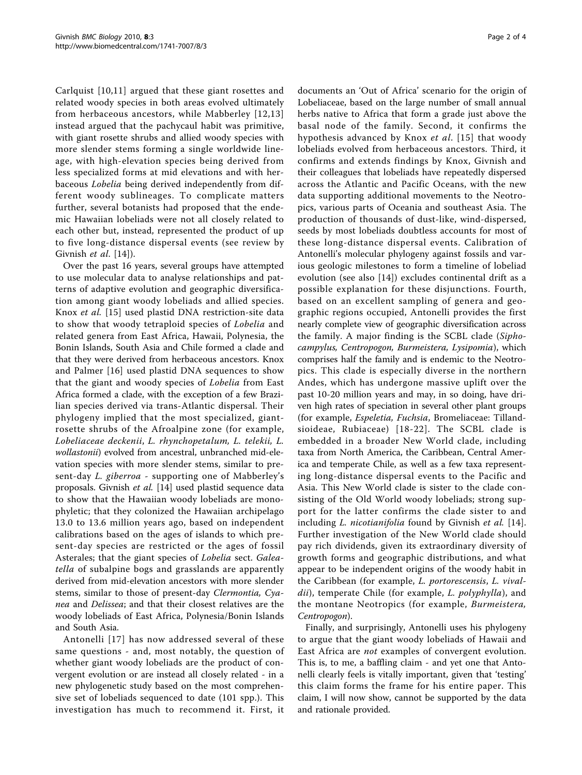Carlquist [\[10,11](#page-3-0)] argued that these giant rosettes and related woody species in both areas evolved ultimately from herbaceous ancestors, while Mabberley [[12](#page-3-0),[13](#page-3-0)] instead argued that the pachycaul habit was primitive, with giant rosette shrubs and allied woody species with more slender stems forming a single worldwide lineage, with high-elevation species being derived from less specialized forms at mid elevations and with herbaceous Lobelia being derived independently from different woody sublineages. To complicate matters further, several botanists had proposed that the endemic Hawaiian lobeliads were not all closely related to each other but, instead, represented the product of up to five long-distance dispersal events (see review by Givnish et al. [[14\]](#page-3-0)).

Over the past 16 years, several groups have attempted to use molecular data to analyse relationships and patterns of adaptive evolution and geographic diversification among giant woody lobeliads and allied species. Knox et al. [[15](#page-3-0)] used plastid DNA restriction-site data to show that woody tetraploid species of Lobelia and related genera from East Africa, Hawaii, Polynesia, the Bonin Islands, South Asia and Chile formed a clade and that they were derived from herbaceous ancestors. Knox and Palmer [[16\]](#page-3-0) used plastid DNA sequences to show that the giant and woody species of Lobelia from East Africa formed a clade, with the exception of a few Brazilian species derived via trans-Atlantic dispersal. Their phylogeny implied that the most specialized, giantrosette shrubs of the Afroalpine zone (for example, Lobeliaceae deckenii, L. rhynchopetalum, L. telekii, L. wollastonii) evolved from ancestral, unbranched mid-elevation species with more slender stems, similar to present-day L. giberroa - supporting one of Mabberley's proposals. Givnish et al. [[14](#page-3-0)] used plastid sequence data to show that the Hawaiian woody lobeliads are monophyletic; that they colonized the Hawaiian archipelago 13.0 to 13.6 million years ago, based on independent calibrations based on the ages of islands to which present-day species are restricted or the ages of fossil Asterales; that the giant species of Lobelia sect. Galeatella of subalpine bogs and grasslands are apparently derived from mid-elevation ancestors with more slender stems, similar to those of present-day Clermontia, Cyanea and Delissea; and that their closest relatives are the woody lobeliads of East Africa, Polynesia/Bonin Islands and South Asia.

Antonelli [[17\]](#page-3-0) has now addressed several of these same questions - and, most notably, the question of whether giant woody lobeliads are the product of convergent evolution or are instead all closely related - in a new phylogenetic study based on the most comprehensive set of lobeliads sequenced to date (101 spp.). This investigation has much to recommend it. First, it

documents an 'Out of Africa' scenario for the origin of Lobeliaceae, based on the large number of small annual herbs native to Africa that form a grade just above the basal node of the family. Second, it confirms the hypothesis advanced by Knox et al. [[15\]](#page-3-0) that woody lobeliads evolved from herbaceous ancestors. Third, it confirms and extends findings by Knox, Givnish and their colleagues that lobeliads have repeatedly dispersed across the Atlantic and Pacific Oceans, with the new data supporting additional movements to the Neotropics, various parts of Oceania and southeast Asia. The production of thousands of dust-like, wind-dispersed, seeds by most lobeliads doubtless accounts for most of these long-distance dispersal events. Calibration of Antonelli's molecular phylogeny against fossils and various geologic milestones to form a timeline of lobeliad evolution (see also [\[14](#page-3-0)]) excludes continental drift as a possible explanation for these disjunctions. Fourth, based on an excellent sampling of genera and geographic regions occupied, Antonelli provides the first nearly complete view of geographic diversification across the family. A major finding is the SCBL clade (Siphocampylus, Centropogon, Burmeistera, Lysipomia), which comprises half the family and is endemic to the Neotropics. This clade is especially diverse in the northern Andes, which has undergone massive uplift over the past 10-20 million years and may, in so doing, have driven high rates of speciation in several other plant groups (for example, Espeletia, Fuchsia, Bromeliaceae: Tillandsioideae, Rubiaceae) [[18-22](#page-3-0)]. The SCBL clade is embedded in a broader New World clade, including taxa from North America, the Caribbean, Central America and temperate Chile, as well as a few taxa representing long-distance dispersal events to the Pacific and Asia. This New World clade is sister to the clade consisting of the Old World woody lobeliads; strong support for the latter confirms the clade sister to and including L. nicotianifolia found by Givnish et al. [[14](#page-3-0)]. Further investigation of the New World clade should pay rich dividends, given its extraordinary diversity of growth forms and geographic distributions, and what appear to be independent origins of the woody habit in the Caribbean (for example, L. portorescensis, L. vivaldii), temperate Chile (for example, L. polyphylla), and the montane Neotropics (for example, Burmeistera, Centropogon).

Finally, and surprisingly, Antonelli uses his phylogeny to argue that the giant woody lobeliads of Hawaii and East Africa are not examples of convergent evolution. This is, to me, a baffling claim - and yet one that Antonelli clearly feels is vitally important, given that 'testing' this claim forms the frame for his entire paper. This claim, I will now show, cannot be supported by the data and rationale provided.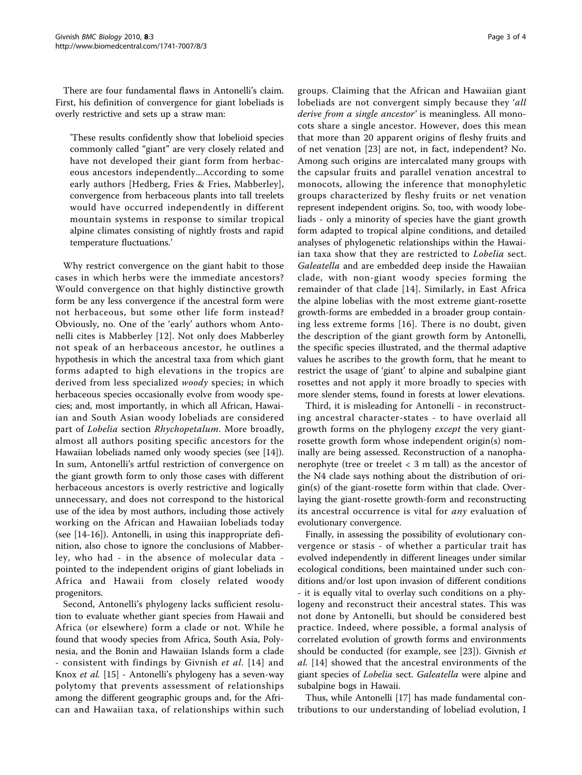There are four fundamental flaws in Antonelli's claim. First, his definition of convergence for giant lobeliads is overly restrictive and sets up a straw man:

'These results confidently show that lobelioid species commonly called "giant" are very closely related and have not developed their giant form from herbaceous ancestors independently...According to some early authors [Hedberg, Fries & Fries, Mabberley], convergence from herbaceous plants into tall treelets would have occurred independently in different mountain systems in response to similar tropical alpine climates consisting of nightly frosts and rapid temperature fluctuations.'

Why restrict convergence on the giant habit to those cases in which herbs were the immediate ancestors? Would convergence on that highly distinctive growth form be any less convergence if the ancestral form were not herbaceous, but some other life form instead? Obviously, no. One of the 'early' authors whom Antonelli cites is Mabberley [[12\]](#page-3-0). Not only does Mabberley not speak of an herbaceous ancestor, he outlines a hypothesis in which the ancestral taxa from which giant forms adapted to high elevations in the tropics are derived from less specialized woody species; in which herbaceous species occasionally evolve from woody species; and, most importantly, in which all African, Hawaiian and South Asian woody lobeliads are considered part of Lobelia section Rhychopetalum. More broadly, almost all authors positing specific ancestors for the Hawaiian lobeliads named only woody species (see [\[14](#page-3-0)]). In sum, Antonelli's artful restriction of convergence on the giant growth form to only those cases with different herbaceous ancestors is overly restrictive and logically unnecessary, and does not correspond to the historical use of the idea by most authors, including those actively working on the African and Hawaiian lobeliads today (see [\[14-16](#page-3-0)]). Antonelli, in using this inappropriate definition, also chose to ignore the conclusions of Mabberley, who had - in the absence of molecular data pointed to the independent origins of giant lobeliads in Africa and Hawaii from closely related woody progenitors.

Second, Antonelli's phylogeny lacks sufficient resolution to evaluate whether giant species from Hawaii and Africa (or elsewhere) form a clade or not. While he found that woody species from Africa, South Asia, Polynesia, and the Bonin and Hawaiian Islands form a clade - consistent with findings by Givnish et al. [[14\]](#page-3-0) and Knox et al. [\[15\]](#page-3-0) - Antonelli's phylogeny has a seven-way polytomy that prevents assessment of relationships among the different geographic groups and, for the African and Hawaiian taxa, of relationships within such

groups. Claiming that the African and Hawaiian giant lobeliads are not convergent simply because they 'all derive from a single ancestor' is meaningless. All monocots share a single ancestor. However, does this mean that more than 20 apparent origins of fleshy fruits and of net venation [[23\]](#page-3-0) are not, in fact, independent? No. Among such origins are intercalated many groups with the capsular fruits and parallel venation ancestral to monocots, allowing the inference that monophyletic groups characterized by fleshy fruits or net venation represent independent origins. So, too, with woody lobeliads - only a minority of species have the giant growth form adapted to tropical alpine conditions, and detailed analyses of phylogenetic relationships within the Hawaiian taxa show that they are restricted to Lobelia sect. Galeatella and are embedded deep inside the Hawaiian clade, with non-giant woody species forming the remainder of that clade [[14](#page-3-0)]. Similarly, in East Africa the alpine lobelias with the most extreme giant-rosette growth-forms are embedded in a broader group containing less extreme forms [[16](#page-3-0)]. There is no doubt, given the description of the giant growth form by Antonelli, the specific species illustrated, and the thermal adaptive values he ascribes to the growth form, that he meant to restrict the usage of 'giant' to alpine and subalpine giant rosettes and not apply it more broadly to species with

Third, it is misleading for Antonelli - in reconstructing ancestral character-states - to have overlaid all growth forms on the phylogeny *except* the very giantrosette growth form whose independent origin(s) nominally are being assessed. Reconstruction of a nanophanerophyte (tree or treelet < 3 m tall) as the ancestor of the N4 clade says nothing about the distribution of origin(s) of the giant-rosette form within that clade. Overlaying the giant-rosette growth-form and reconstructing its ancestral occurrence is vital for any evaluation of evolutionary convergence.

more slender stems, found in forests at lower elevations.

Finally, in assessing the possibility of evolutionary convergence or stasis - of whether a particular trait has evolved independently in different lineages under similar ecological conditions, been maintained under such conditions and/or lost upon invasion of different conditions - it is equally vital to overlay such conditions on a phylogeny and reconstruct their ancestral states. This was not done by Antonelli, but should be considered best practice. Indeed, where possible, a formal analysis of correlated evolution of growth forms and environments should be conducted (for example, see [[23\]](#page-3-0)). Givnish et al. [[14](#page-3-0)] showed that the ancestral environments of the giant species of Lobelia sect. Galeatella were alpine and subalpine bogs in Hawaii.

Thus, while Antonelli [[17\]](#page-3-0) has made fundamental contributions to our understanding of lobeliad evolution, I